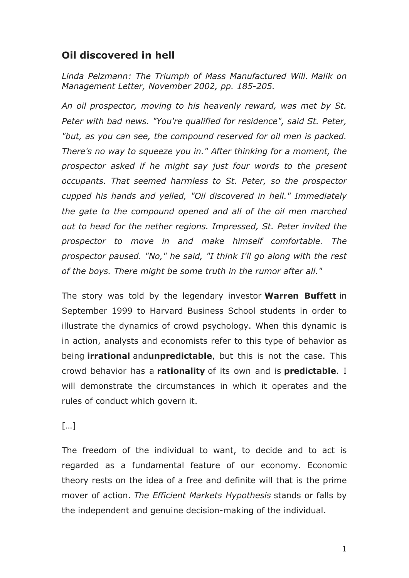## **Oil discovered in hell**

*Linda Pelzmann: The Triumph of Mass Manufactured Will. Malik on Management Letter, November 2002, pp. 185-205.*

*An oil prospector, moving to his heavenly reward, was met by St. Peter with bad news. "You're qualified for residence", said St. Peter, "but, as you can see, the compound reserved for oil men is packed. There's no way to squeeze you in." After thinking for a moment, the prospector asked if he might say just four words to the present occupants. That seemed harmless to St. Peter, so the prospector cupped his hands and yelled, "Oil discovered in hell." Immediately the gate to the compound opened and all of the oil men marched out to head for the nether regions. Impressed, St. Peter invited the prospector to move in and make himself comfortable. The prospector paused. "No," he said, "I think I'll go along with the rest of the boys. There might be some truth in the rumor after all."*

The story was told by the legendary investor **Warren Buffett** in September 1999 to Harvard Business School students in order to illustrate the dynamics of crowd psychology. When this dynamic is in action, analysts and economists refer to this type of behavior as being **irrational** and**unpredictable**, but this is not the case. This crowd behavior has a **rationality** of its own and is **predictable**. I will demonstrate the circumstances in which it operates and the rules of conduct which govern it.

## […]

The freedom of the individual to want, to decide and to act is regarded as a fundamental feature of our economy. Economic theory rests on the idea of a free and definite will that is the prime mover of action. *The Efficient Markets Hypothesis* stands or falls by the independent and genuine decision-making of the individual.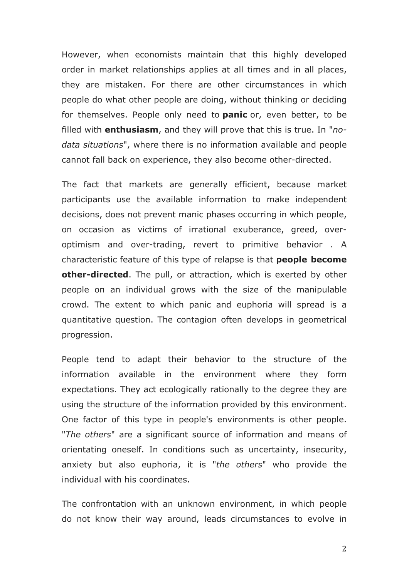However, when economists maintain that this highly developed order in market relationships applies at all times and in all places, they are mistaken. For there are other circumstances in which people do what other people are doing, without thinking or deciding for themselves. People only need to **panic** or, even better, to be filled with **enthusiasm**, and they will prove that this is true. In "*nodata situations*", where there is no information available and people cannot fall back on experience, they also become other-directed.

The fact that markets are generally efficient, because market participants use the available information to make independent decisions, does not prevent manic phases occurring in which people, on occasion as victims of irrational exuberance, greed, overoptimism and over-trading, revert to primitive behavior . A characteristic feature of this type of relapse is that **people become other-directed**. The pull, or attraction, which is exerted by other people on an individual grows with the size of the manipulable crowd. The extent to which panic and euphoria will spread is a quantitative question. The contagion often develops in geometrical progression.

People tend to adapt their behavior to the structure of the information available in the environment where they form expectations. They act ecologically rationally to the degree they are using the structure of the information provided by this environment. One factor of this type in people's environments is other people. "*The others*" are a significant source of information and means of orientating oneself. In conditions such as uncertainty, insecurity, anxiety but also euphoria, it is "*the others*" who provide the individual with his coordinates.

The confrontation with an unknown environment, in which people do not know their way around, leads circumstances to evolve in

2